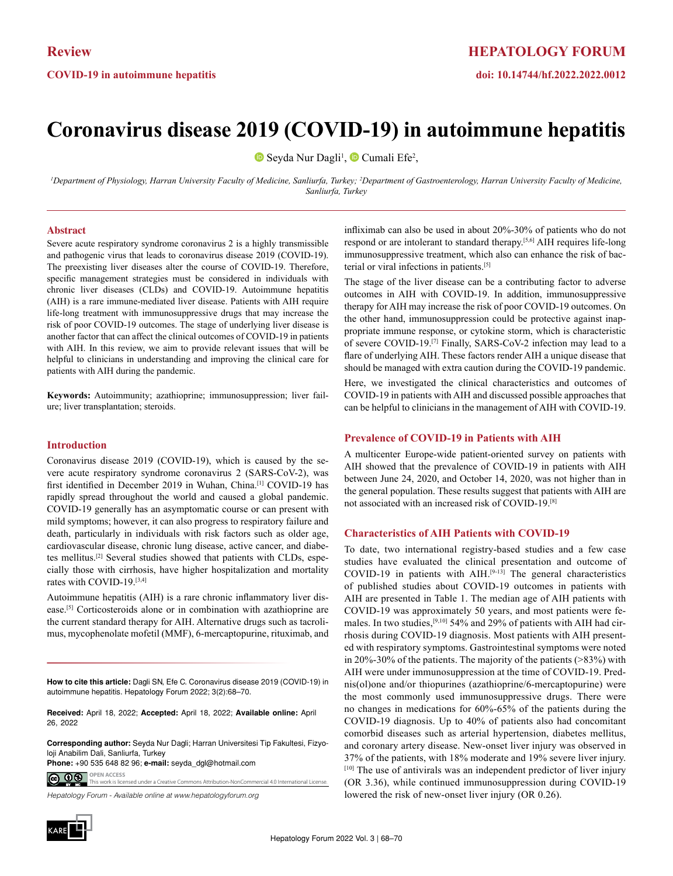# **Coronavirus disease 2019 (COVID-19) in autoimmune hepatitis**

SeydaNur Dagli<sup>1</sup>, <sup>■</sup> Cumali Efe<sup>2</sup>,

<sup>1</sup>Department of Physiology, Harran University Faculty of Medicine, Sanliurfa, Turkey; <sup>2</sup>Department of Gastroenterology, Harran University Faculty of Medicine, *Sanliurfa, Turkey*

#### **Abstract**

Severe acute respiratory syndrome coronavirus 2 is a highly transmissible and pathogenic virus that leads to coronavirus disease 2019 (COVID-19). The preexisting liver diseases alter the course of COVID-19. Therefore, specific management strategies must be considered in individuals with chronic liver diseases (CLDs) and COVID-19. Autoimmune hepatitis (AIH) is a rare immune-mediated liver disease. Patients with AIH require life-long treatment with immunosuppressive drugs that may increase the risk of poor COVID-19 outcomes. The stage of underlying liver disease is another factor that can affect the clinical outcomes of COVID-19 in patients with AIH. In this review, we aim to provide relevant issues that will be helpful to clinicians in understanding and improving the clinical care for patients with AIH during the pandemic.

**Keywords:** Autoimmunity; azathioprine; immunosuppression; liver failure; liver transplantation; steroids.

#### **Introduction**

Coronavirus disease 2019 (COVID-19), which is caused by the severe acute respiratory syndrome coronavirus 2 (SARS-CoV-2), was first identified in December 2019 in Wuhan, China.<sup>[1]</sup> COVID-19 has rapidly spread throughout the world and caused a global pandemic. COVID-19 generally has an asymptomatic course or can present with mild symptoms; however, it can also progress to respiratory failure and death, particularly in individuals with risk factors such as older age, cardiovascular disease, chronic lung disease, active cancer, and diabetes mellitus.[2] Several studies showed that patients with CLDs, especially those with cirrhosis, have higher hospitalization and mortality rates with COVID-19.[3,4]

Autoimmune hepatitis (AIH) is a rare chronic inflammatory liver disease.[5] Corticosteroids alone or in combination with azathioprine are the current standard therapy for AIH. Alternative drugs such as tacrolimus, mycophenolate mofetil (MMF), 6-mercaptopurine, rituximab, and

**How to cite this article:** Dagli SN, Efe C. Coronavirus disease 2019 (COVID-19) in autoimmune hepatitis. Hepatology Forum 2022; 3(2):68–70.

**Received:** April 18, 2022; **Accepted:** April 18, 2022; **Available online:** April 26, 2022

**Corresponding author:** Seyda Nur Dagli; Harran Universitesi Tip Fakultesi, Fizyoloji Anabilim Dali, Sanliurfa, Turkey

**OPEN ACCESS Phone:** +90 535 648 82 96; **e-mail:** seyda\_dgl@hotmail.com

<u>ම ගම</u> This work is licensed under a Creative Commons Attribution-NonCom

*Hepatology Forum - Available online at www.hepatologyforum.org*



The stage of the liver disease can be a contributing factor to adverse outcomes in AIH with COVID-19. In addition, immunosuppressive therapy for AIH may increase the risk of poor COVID-19 outcomes. On the other hand, immunosuppression could be protective against inappropriate immune response, or cytokine storm, which is characteristic of severe COVID-19.[7] Finally, SARS-CoV-2 infection may lead to a flare of underlying AIH. These factors render AIH a unique disease that should be managed with extra caution during the COVID-19 pandemic. Here, we investigated the clinical characteristics and outcomes of COVID-19 in patients with AIH and discussed possible approaches that can be helpful to clinicians in the management of AIH with COVID-19.

#### **Prevalence of COVID-19 in Patients with AIH**

A multicenter Europe-wide patient-oriented survey on patients with AIH showed that the prevalence of COVID-19 in patients with AIH between June 24, 2020, and October 14, 2020, was not higher than in the general population. These results suggest that patients with AIH are not associated with an increased risk of COVID-19.[8]

### **Characteristics of AIH Patients with COVID-19**

To date, two international registry-based studies and a few case studies have evaluated the clinical presentation and outcome of COVID-19 in patients with  $AHI^{[9-13]}$  The general characteristics of published studies about COVID-19 outcomes in patients with AIH are presented in Table 1. The median age of AIH patients with COVID-19 was approximately 50 years, and most patients were females. In two studies,<sup>[9,10]</sup> 54% and 29% of patients with AIH had cirrhosis during COVID-19 diagnosis. Most patients with AIH presented with respiratory symptoms. Gastrointestinal symptoms were noted in 20%-30% of the patients. The majority of the patients (>83%) with AIH were under immunosuppression at the time of COVID-19. Prednis(ol)one and/or thiopurines (azathioprine/6-mercaptopurine) were the most commonly used immunosuppressive drugs. There were no changes in medications for 60%-65% of the patients during the COVID-19 diagnosis. Up to 40% of patients also had concomitant comorbid diseases such as arterial hypertension, diabetes mellitus, and coronary artery disease. New-onset liver injury was observed in 37% of the patients, with 18% moderate and 19% severe liver injury. [10] The use of antivirals was an independent predictor of liver injury (OR 3.36), while continued immunosuppression during COVID-19 lowered the risk of new-onset liver injury (OR 0.26).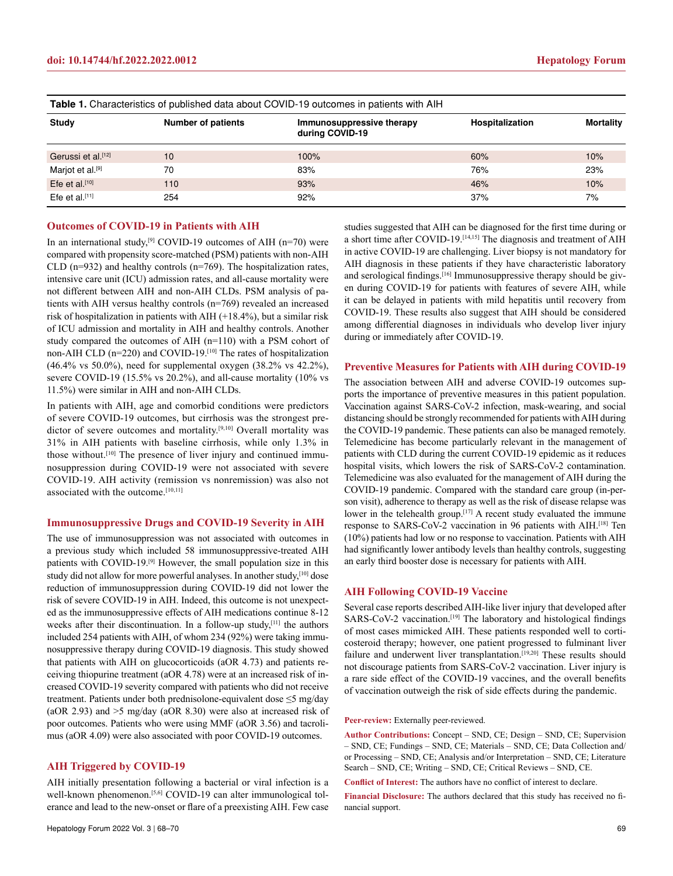| <b>Table 1.</b> Characteristics of published data about COVID-19 outcomes in patients with AIH |                           |                                              |                 |                  |
|------------------------------------------------------------------------------------------------|---------------------------|----------------------------------------------|-----------------|------------------|
| Study                                                                                          | <b>Number of patients</b> | Immunosuppressive therapy<br>during COVID-19 | Hospitalization | <b>Mortality</b> |
| Gerussi et al. <sup>[12]</sup>                                                                 | 10                        | 100%                                         | 60%             | 10%              |
| Marjot et al. <sup>[9]</sup>                                                                   | 70                        | 83%                                          | 76%             | 23%              |
| Efe et al. $[10]$                                                                              | 110                       | 93%                                          | 46%             | 10%              |
| Efe et al. $[11]$                                                                              | 254                       | 92%                                          | 37%             | 7%               |

## **Outcomes of COVID-19 in Patients with AIH**

In an international study,<sup>[9]</sup> COVID-19 outcomes of AIH (n=70) were compared with propensity score-matched (PSM) patients with non-AIH CLD (n=932) and healthy controls (n=769). The hospitalization rates, intensive care unit (ICU) admission rates, and all-cause mortality were not different between AIH and non-AIH CLDs. PSM analysis of patients with AIH versus healthy controls (n=769) revealed an increased risk of hospitalization in patients with AIH (+18.4%), but a similar risk of ICU admission and mortality in AIH and healthy controls. Another study compared the outcomes of AIH (n=110) with a PSM cohort of non-AIH CLD (n=220) and COVID-19.[10] The rates of hospitalization (46.4% vs 50.0%), need for supplemental oxygen (38.2% vs 42.2%), severe COVID-19 (15.5% vs 20.2%), and all-cause mortality (10% vs 11.5%) were similar in AIH and non-AIH CLDs.

In patients with AIH, age and comorbid conditions were predictors of severe COVID-19 outcomes, but cirrhosis was the strongest predictor of severe outcomes and mortality.<sup>[9,10]</sup> Overall mortality was 31% in AIH patients with baseline cirrhosis, while only 1.3% in those without.[10] The presence of liver injury and continued immunosuppression during COVID-19 were not associated with severe COVID-19. AIH activity (remission vs nonremission) was also not associated with the outcome.[10,11]

### **Immunosuppressive Drugs and COVID-19 Severity in AIH**

The use of immunosuppression was not associated with outcomes in a previous study which included 58 immunosuppressive-treated AIH patients with COVID-19.[9] However, the small population size in this study did not allow for more powerful analyses. In another study,<sup>[10]</sup> dose reduction of immunosuppression during COVID-19 did not lower the risk of severe COVID-19 in AIH. Indeed, this outcome is not unexpected as the immunosuppressive effects of AIH medications continue 8-12 weeks after their discontinuation. In a follow-up study,[11] the authors included 254 patients with AIH, of whom 234 (92%) were taking immunosuppressive therapy during COVID-19 diagnosis. This study showed that patients with AIH on glucocorticoids (aOR 4.73) and patients receiving thiopurine treatment (aOR 4.78) were at an increased risk of increased COVID-19 severity compared with patients who did not receive treatment. Patients under both prednisolone-equivalent dose ≤5 mg/day (aOR 2.93) and >5 mg/day (aOR 8.30) were also at increased risk of poor outcomes. Patients who were using MMF (aOR 3.56) and tacrolimus (aOR 4.09) were also associated with poor COVID-19 outcomes.

## **AIH Triggered by COVID-19**

AIH initially presentation following a bacterial or viral infection is a well-known phenomenon.<sup>[5,6]</sup> COVID-19 can alter immunological tolerance and lead to the new-onset or flare of a preexisting AIH. Few case

studies suggested that AIH can be diagnosed for the first time during or a short time after COVID-19.[14,15] The diagnosis and treatment of AIH in active COVID-19 are challenging. Liver biopsy is not mandatory for AIH diagnosis in these patients if they have characteristic laboratory and serological findings.[16] Immunosuppressive therapy should be given during COVID-19 for patients with features of severe AIH, while it can be delayed in patients with mild hepatitis until recovery from COVID-19. These results also suggest that AIH should be considered among differential diagnoses in individuals who develop liver injury during or immediately after COVID-19.

#### **Preventive Measures for Patients with AIH during COVID-19**

The association between AIH and adverse COVID-19 outcomes supports the importance of preventive measures in this patient population. Vaccination against SARS-CoV-2 infection, mask-wearing, and social distancing should be strongly recommended for patients with AIH during the COVID-19 pandemic. These patients can also be managed remotely. Telemedicine has become particularly relevant in the management of patients with CLD during the current COVID-19 epidemic as it reduces hospital visits, which lowers the risk of SARS-CoV-2 contamination. Telemedicine was also evaluated for the management of AIH during the COVID-19 pandemic. Compared with the standard care group (in-person visit), adherence to therapy as well as the risk of disease relapse was lower in the telehealth group.<sup>[17]</sup> A recent study evaluated the immune response to SARS-CoV-2 vaccination in 96 patients with AIH.[18] Ten (10%) patients had low or no response to vaccination. Patients with AIH had significantly lower antibody levels than healthy controls, suggesting an early third booster dose is necessary for patients with AIH.

#### **AIH Following COVID-19 Vaccine**

Several case reports described AIH-like liver injury that developed after SARS-CoV-2 vaccination.<sup>[19]</sup> The laboratory and histological findings of most cases mimicked AIH. These patients responded well to corticosteroid therapy; however, one patient progressed to fulminant liver failure and underwent liver transplantation.<sup>[19,20]</sup> These results should not discourage patients from SARS-CoV-2 vaccination. Liver injury is a rare side effect of the COVID-19 vaccines, and the overall benefits of vaccination outweigh the risk of side effects during the pandemic.

**Peer-review:** Externally peer-reviewed.

**Author Contributions:** Concept – SND, CE; Design – SND, CE; Supervision – SND, CE; Fundings – SND, CE; Materials – SND, CE; Data Collection and/ or Processing – SND, CE; Analysis and/or Interpretation – SND, CE; Literature Search – SND, CE; Writing – SND, CE; Critical Reviews – SND, CE.

**Conflict of Interest:** The authors have no conflict of interest to declare.

**Financial Disclosure:** The authors declared that this study has received no financial support.